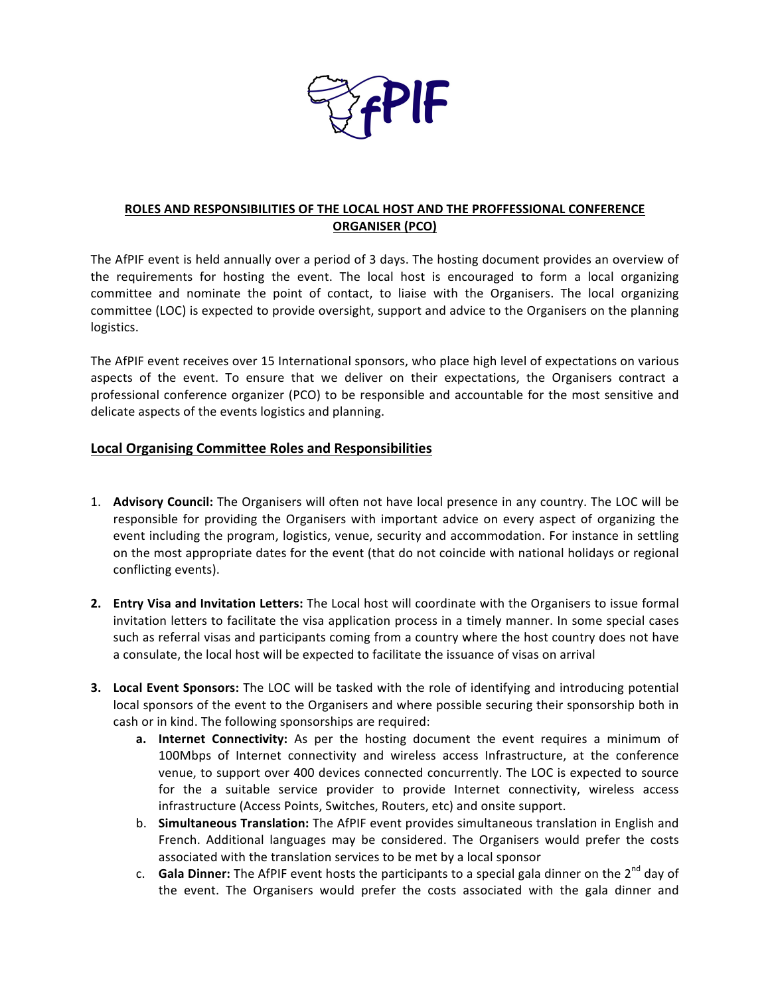

## **ROLES AND RESPONSIBILITIES OF THE LOCAL HOST AND THE PROFFESSIONAL CONFERENCE ORGANISER (PCO)**

The AfPIF event is held annually over a period of 3 days. The hosting document provides an overview of the requirements for hosting the event. The local host is encouraged to form a local organizing committee and nominate the point of contact, to liaise with the Organisers. The local organizing committee (LOC) is expected to provide oversight, support and advice to the Organisers on the planning logistics. 

The AfPIF event receives over 15 International sponsors, who place high level of expectations on various aspects of the event. To ensure that we deliver on their expectations, the Organisers contract a professional conference organizer (PCO) to be responsible and accountable for the most sensitive and delicate aspects of the events logistics and planning.

## **Local Organising Committee Roles and Responsibilities**

- 1. **Advisory Council:** The Organisers will often not have local presence in any country. The LOC will be responsible for providing the Organisers with important advice on every aspect of organizing the event including the program, logistics, venue, security and accommodation. For instance in settling on the most appropriate dates for the event (that do not coincide with national holidays or regional conflicting events).
- **2. Entry Visa and Invitation Letters:** The Local host will coordinate with the Organisers to issue formal invitation letters to facilitate the visa application process in a timely manner. In some special cases such as referral visas and participants coming from a country where the host country does not have a consulate, the local host will be expected to facilitate the issuance of visas on arrival
- **3.** Local Event Sponsors: The LOC will be tasked with the role of identifying and introducing potential local sponsors of the event to the Organisers and where possible securing their sponsorship both in cash or in kind. The following sponsorships are required:
	- **a.** Internet Connectivity: As per the hosting document the event requires a minimum of 100Mbps of Internet connectivity and wireless access Infrastructure, at the conference venue, to support over 400 devices connected concurrently. The LOC is expected to source for the a suitable service provider to provide Internet connectivity, wireless access infrastructure (Access Points, Switches, Routers, etc) and onsite support.
	- b. **Simultaneous Translation:** The AfPIF event provides simultaneous translation in English and French. Additional languages may be considered. The Organisers would prefer the costs associated with the translation services to be met by a local sponsor
	- c. **Gala Dinner:** The AfPIF event hosts the participants to a special gala dinner on the 2<sup>nd</sup> day of the event. The Organisers would prefer the costs associated with the gala dinner and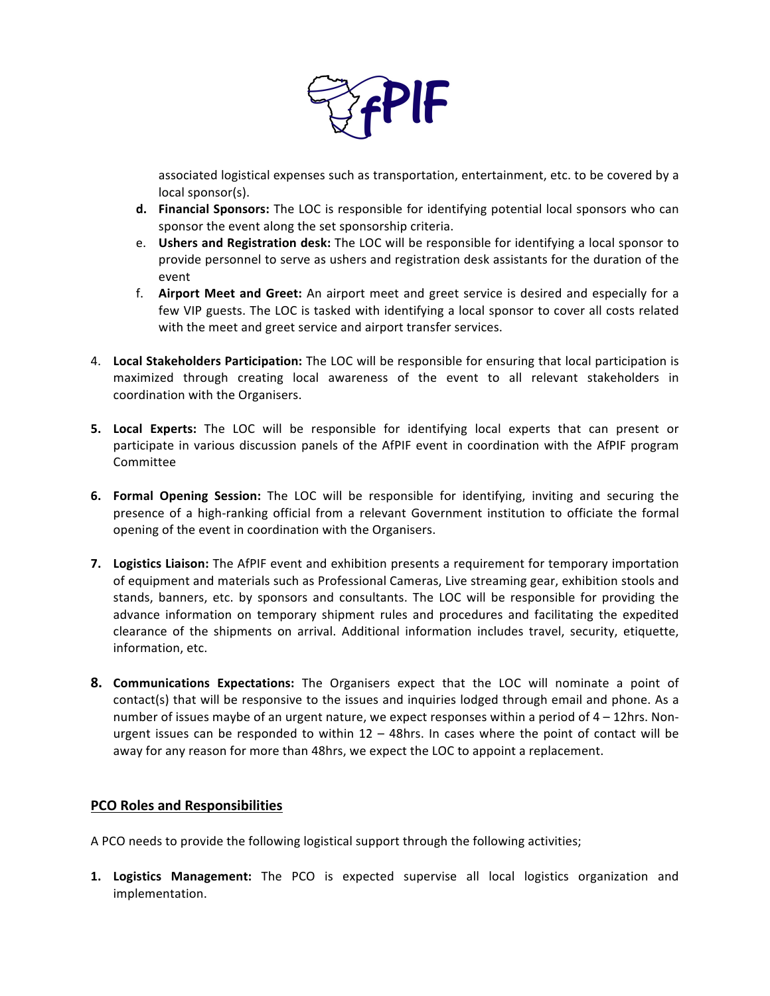

associated logistical expenses such as transportation, entertainment, etc. to be covered by a local sponsor(s).

- **d.** Financial Sponsors: The LOC is responsible for identifying potential local sponsors who can sponsor the event along the set sponsorship criteria.
- e. **Ushers and Registration desk:** The LOC will be responsible for identifying a local sponsor to provide personnel to serve as ushers and registration desk assistants for the duration of the event
- f. **Airport Meet and Greet:** An airport meet and greet service is desired and especially for a few VIP guests. The LOC is tasked with identifying a local sponsor to cover all costs related with the meet and greet service and airport transfer services.
- 4. Local Stakeholders Participation: The LOC will be responsible for ensuring that local participation is maximized through creating local awareness of the event to all relevant stakeholders in coordination with the Organisers.
- **5.** Local Experts: The LOC will be responsible for identifying local experts that can present or participate in various discussion panels of the AfPIF event in coordination with the AfPIF program Committee
- **6. Formal Opening Session:** The LOC will be responsible for identifying, inviting and securing the presence of a high-ranking official from a relevant Government institution to officiate the formal opening of the event in coordination with the Organisers.
- **7. Logistics Liaison:** The AfPIF event and exhibition presents a requirement for temporary importation of equipment and materials such as Professional Cameras, Live streaming gear, exhibition stools and stands, banners, etc. by sponsors and consultants. The LOC will be responsible for providing the advance information on temporary shipment rules and procedures and facilitating the expedited clearance of the shipments on arrival. Additional information includes travel, security, etiquette, information, etc.
- **8. Communications Expectations:** The Organisers expect that the LOC will nominate a point of contact(s) that will be responsive to the issues and inquiries lodged through email and phone. As a number of issues maybe of an urgent nature, we expect responses within a period of  $4 - 12$ hrs. Nonurgent issues can be responded to within  $12 - 48$ hrs. In cases where the point of contact will be away for any reason for more than 48hrs, we expect the LOC to appoint a replacement.

## **PCO Roles and Responsibilities**

A PCO needs to provide the following logistical support through the following activities;

**1. Logistics Management:** The PCO is expected supervise all local logistics organization and implementation.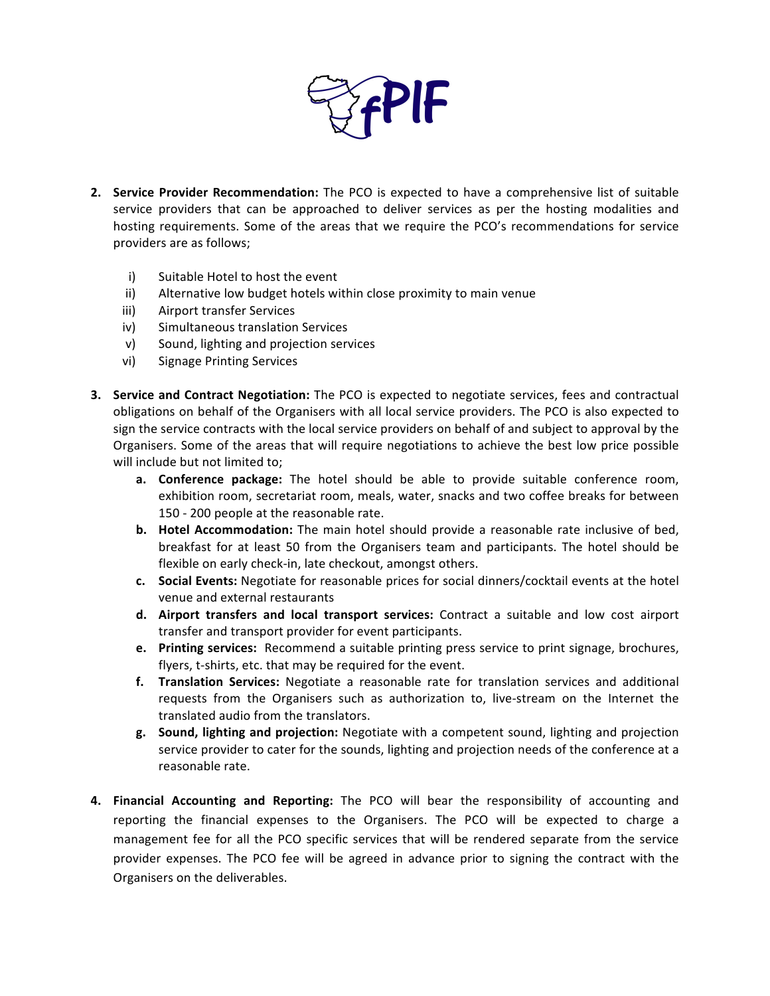

- **2. Service Provider Recommendation:** The PCO is expected to have a comprehensive list of suitable service providers that can be approached to deliver services as per the hosting modalities and hosting requirements. Some of the areas that we require the PCO's recommendations for service providers are as follows;
	- i) Suitable Hotel to host the event
	- ii) Alternative low budget hotels within close proximity to main venue
	- iii) Airport transfer Services
	- iv) Simultaneous translation Services
	- v) Sound, lighting and projection services
	- vi) Signage Printing Services
- **3.** Service and Contract Negotiation: The PCO is expected to negotiate services, fees and contractual obligations on behalf of the Organisers with all local service providers. The PCO is also expected to sign the service contracts with the local service providers on behalf of and subject to approval by the Organisers. Some of the areas that will require negotiations to achieve the best low price possible will include but not limited to;
	- **a. Conference package:** The hotel should be able to provide suitable conference room, exhibition room, secretariat room, meals, water, snacks and two coffee breaks for between 150 - 200 people at the reasonable rate.
	- **b.** Hotel Accommodation: The main hotel should provide a reasonable rate inclusive of bed, breakfast for at least 50 from the Organisers team and participants. The hotel should be flexible on early check-in, late checkout, amongst others.
	- **c.** Social Events: Negotiate for reasonable prices for social dinners/cocktail events at the hotel venue and external restaurants
	- **d.** Airport transfers and local transport services: Contract a suitable and low cost airport transfer and transport provider for event participants.
	- **e.** Printing services: Recommend a suitable printing press service to print signage, brochures, flyers, t-shirts, etc. that may be required for the event.
	- f. **Translation Services:** Negotiate a reasonable rate for translation services and additional requests from the Organisers such as authorization to, live-stream on the Internet the translated audio from the translators.
	- **g.** Sound, lighting and projection: Negotiate with a competent sound, lighting and projection service provider to cater for the sounds, lighting and projection needs of the conference at a reasonable rate.
- **4. Financial Accounting and Reporting:** The PCO will bear the responsibility of accounting and reporting the financial expenses to the Organisers. The PCO will be expected to charge a management fee for all the PCO specific services that will be rendered separate from the service provider expenses. The PCO fee will be agreed in advance prior to signing the contract with the Organisers on the deliverables.